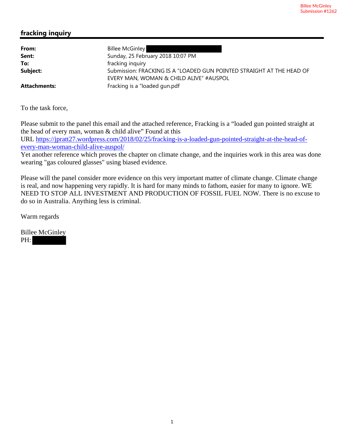### **fracking inquiry**

| From:               | <b>Billee McGinley</b>                                                                                           |
|---------------------|------------------------------------------------------------------------------------------------------------------|
| Sent:               | Sunday, 25 February 2018 10:07 PM                                                                                |
| To:                 | fracking inquiry                                                                                                 |
| Subject:            | Submission: FRACKING IS A "LOADED GUN POINTED STRAIGHT AT THE HEAD OF<br>EVERY MAN, WOMAN & CHILD ALIVE" #AUSPOL |
| <b>Attachments:</b> | Fracking is a "loaded gun.pdf                                                                                    |

To the task force,

Please submit to the panel this email and the attached reference, Fracking is a "loaded gun pointed straight at the head of every man, woman & child alive" Found at this URL https://jpratt27.wordpress.com/2018/02/25/fracking-is-a-loaded-gun-pointed-straight-at-the-head-ofevery-man-woman-child-alive-auspol/

Yet another reference which proves the chapter on climate change, and the inquiries work in this area was done wearing "gas coloured glasses" using biased evidence.

Please will the panel consider more evidence on this very important matter of climate change. Climate change is real, and now happening very rapidly. It is hard for many minds to fathom, easier for many to ignore. WE NEED TO STOP ALL INVESTMENT AND PRODUCTION OF FOSSIL FUEL NOW. There is no excuse to do so in Australia. Anything less is criminal.

Warm regards

Billee McGinley PH: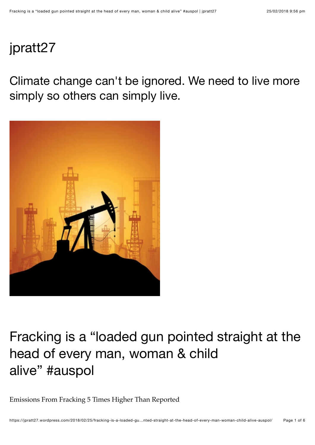# jpratt27

Climate change can't be ignored. We need to live more simply so others can simply live.



# Fracking is a "loaded gun pointed straight at the head of every man, woman & child alive" #auspol

Emissions From Fracking 5 Times Higher Than Reported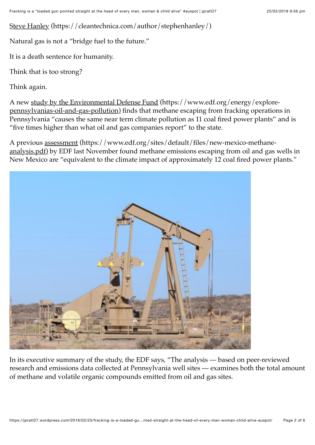Steve Hanley (https://cleantechnica.com/author/stephenhanley/)

Natural gas is not a "bridge fuel to the future."

It is a death sentence for humanity.

Think that is too strong?

Think again.

A new study by the Environmental Defense Fund (https://www.edf.org/energy/explorepennsylvanias-oil-and-gas-pollution) finds that methane escaping from fracking operations in Pennsylvania "causes the same near term climate pollution as 11 coal fired power plants" and is "five times higher than what oil and gas companies report" to the state.

A previous assessment (https://www.edf.org/sites/default/files/new-mexico-methaneanalysis.pdf) by EDF last November found methane emissions escaping from oil and gas wells in New Mexico are "equivalent to the climate impact of approximately 12 coal fired power plants."



In its executive summary of the study, the EDF says, "The analysis — based on peer-reviewed research and emissions data collected at Pennsylvania well sites — examines both the total amount of methane and volatile organic compounds emitted from oil and gas sites.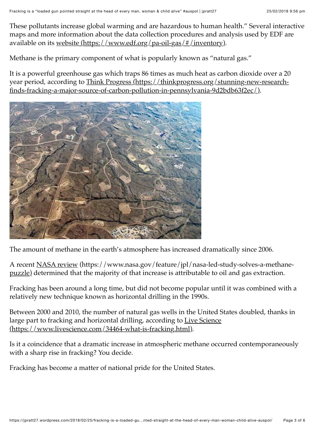These pollutants increase global warming and are hazardous to human health." Several interactive maps and more information about the data collection procedures and analysis used by EDF are available on its website (https://www.edf.org/pa-oil-gas/#/inventory).

Methane is the primary component of what is popularly known as "natural gas."

It is a powerful greenhouse gas which traps 86 times as much heat as carbon dioxide over a 20 year period, according to Think Progress (https://thinkprogress.org/stunning-new-researchfinds-fracking-a-major-source-of-carbon-pollution-in-pennsylvania-9d2bdb63f2ec/).



The amount of methane in the earth's atmosphere has increased dramatically since 2006.

A recent NASA review (https://www.nasa.gov/feature/jpl/nasa-led-study-solves-a-methanepuzzle) determined that the majority of that increase is attributable to oil and gas extraction.

Fracking has been around a long time, but did not become popular until it was combined with a relatively new technique known as horizontal drilling in the 1990s.

Between 2000 and 2010, the number of natural gas wells in the United States doubled, thanks in large part to fracking and horizontal drilling, according to Live Science (https://www.livescience.com/34464-what-is-fracking.html).

Is it a coincidence that a dramatic increase in atmospheric methane occurred contemporaneously with a sharp rise in fracking? You decide.

Fracking has become a matter of national pride for the United States.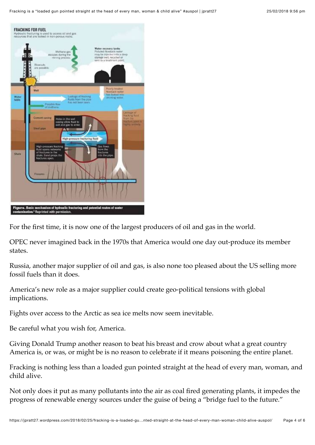

For the first time, it is now one of the largest producers of oil and gas in the world.

OPEC never imagined back in the 1970s that America would one day out-produce its member states.

Russia, another major supplier of oil and gas, is also none too pleased about the US selling more fossil fuels than it does.

America's new role as a major supplier could create geo-political tensions with global implications.

Fights over access to the Arctic as sea ice melts now seem inevitable.

Be careful what you wish for, America.

Giving Donald Trump another reason to beat his breast and crow about what a great country America is, or was, or might be is no reason to celebrate if it means poisoning the entire planet.

Fracking is nothing less than a loaded gun pointed straight at the head of every man, woman, and child alive.

Not only does it put as many pollutants into the air as coal fired generating plants, it impedes the progress of renewable energy sources under the guise of being a "bridge fuel to the future."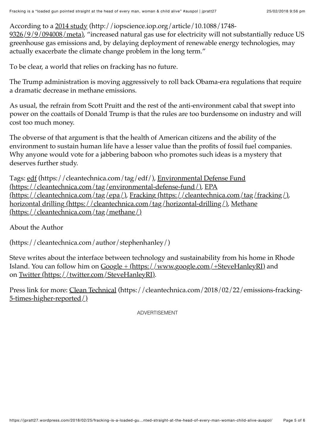According to a 2014 study (http://iopscience.iop.org/article/10.1088/1748-

9326/9/9/094008/meta), "increased natural gas use for electricity will not substantially reduce US greenhouse gas emissions and, by delaying deployment of renewable energy technologies, may actually exacerbate the climate change problem in the long term."

To be clear, a world that relies on fracking has no future.

The Trump administration is moving aggressively to roll back Obama-era regulations that require a dramatic decrease in methane emissions.

As usual, the refrain from Scott Pruitt and the rest of the anti-environment cabal that swept into power on the coattails of Donald Trump is that the rules are too burdensome on industry and will cost too much money.

The obverse of that argument is that the health of American citizens and the ability of the environment to sustain human life have a lesser value than the profits of fossil fuel companies. Why anyone would vote for a jabbering baboon who promotes such ideas is a mystery that deserves further study.

Tags: edf (https://cleantechnica.com/tag/edf/), Environmental Defense Fund (https://cleantechnica.com/tag/environmental-defense-fund/), EPA (https://cleantechnica.com/tag/epa/), Fracking (https://cleantechnica.com/tag/fracking/), horizontal drilling (https://cleantechnica.com/tag/horizontal-drilling/), Methane (https://cleantechnica.com/tag/methane/)

About the Author

(https://cleantechnica.com/author/stephenhanley/)

Steve writes about the interface between technology and sustainability from his home in Rhode Island. You can follow him on  $\frac{Google + (https://www.google.com/+SteveHanleyRI)}{1}$  and on Twitter (https://twitter.com/SteveHanleyRI).

Press link for more: Clean Technical (https://cleantechnica.com/2018/02/22/emissions-fracking-5-times-higher-reported/)

ADVERTISEMENT